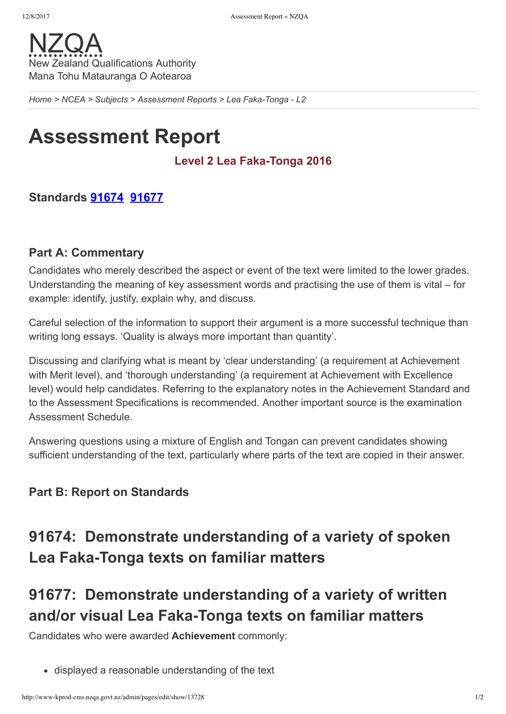

*[Home](http://www-kprod-cms.nzqa.govt.nz/home) > [NCEA](http://www-kprod-cms.nzqa.govt.nz/ncea/) > [Subjects](http://www-kprod-cms.nzqa.govt.nz/ncea/subjects/) > [Assessment](http://www-kprod-cms.nzqa.govt.nz/ncea/subjects/assessment-reports/) Reports > Lea FakaTonga L2*

# **Assessment Report**

### Level 2 Lea Faka-Tonga 2016

## **Standards [91674](http://www-kprod-cms.nzqa.govt.nz/ncea/subjects/assessment-reports/tongan-l2/?stage=Stage#91674) [91677](http://www-kprod-cms.nzqa.govt.nz/ncea/subjects/assessment-reports/tongan-l2/?stage=Stage#91677)**

#### **Part A: Commentary**

Candidates who merely described the aspect or event of the text were limited to the lower grades. Understanding the meaning of key assessment words and practising the use of them is vital – for example: identify, justify, explain why, and discuss.

Careful selection of the information to support their argument is a more successful technique than writing long essays. 'Quality is always more important than quantity'.

Discussing and clarifying what is meant by 'clear understanding' (a requirement at Achievement with Merit level), and 'thorough understanding' (a requirement at Achievement with Excellence level) would help candidates. Referring to the explanatory notes in the Achievement Standard and to the Assessment Specifications is recommended. Another important source is the examination Assessment Schedule.

Answering questions using a mixture of English and Tongan can prevent candidates showing sufficient understanding of the text, particularly where parts of the text are copied in their answer.

# **Part B: Report on Standards**

# **91674: Demonstrate understanding of a variety of spoken Lea Faka-Tonga texts on familiar matters**

# **91677: Demonstrate understanding of a variety of written** and/or visual Lea Faka-Tonga texts on familiar matters

Candidates who were awarded **Achievement** commonly:

displayed a reasonable understanding of the text